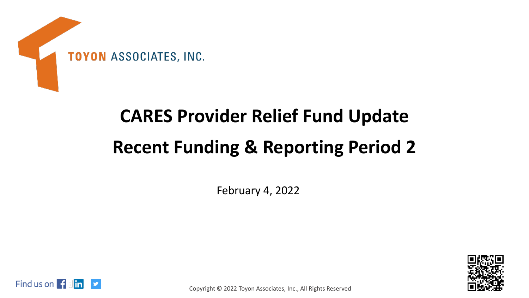

## **CARES Provider Relief Fund Update Recent Funding & Reporting Period 2**

February 4, 2022





Copyright © 2022 Toyon Associates, Inc., All Rights Reserved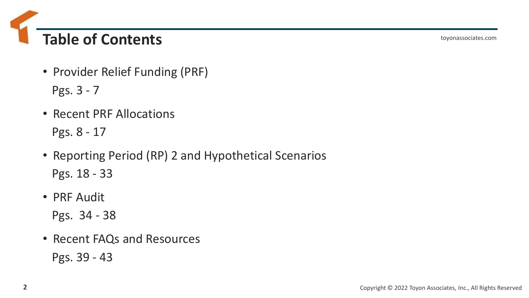**Table of Contents**

toyonassociates.com

- Provider Relief Funding (PRF) Pgs. 3 - 7
- Recent PRF Allocations Pgs. 8 - 17
- Reporting Period (RP) 2 and Hypothetical Scenarios Pgs. 18 - 33
- PRF Audit

Pgs. 34 - 38

• Recent FAQs and Resources Pgs. 39 - 43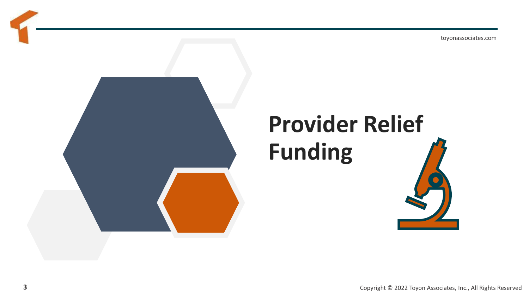

# **Provider Relief Funding**

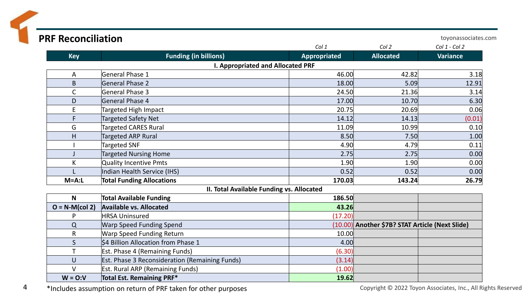| <b>PRF Reconciliation</b> |                                                       |              |                                                 | toyonassociates.com |
|---------------------------|-------------------------------------------------------|--------------|-------------------------------------------------|---------------------|
|                           |                                                       | Col 1        | Col 2                                           | Col 1 - Col 2       |
| <b>Key</b>                | <b>Funding (in billions)</b>                          | Appropriated | <b>Allocated</b>                                | <b>Variance</b>     |
|                           | <b>I. Appropriated and Allocated PRF</b>              |              |                                                 |                     |
| A                         | General Phase 1                                       | 46.00        | 42.82                                           | 3.18                |
| B                         | General Phase 2                                       | 18.00        | 5.09                                            | 12.91               |
| $\mathsf{C}$              | General Phase 3                                       | 24.50        | 21.36                                           | 3.14                |
| D                         | General Phase 4                                       | 17.00        | 10.70                                           | 6.30                |
| E                         | Targeted High Impact                                  | 20.75        | 20.69                                           | 0.06                |
| F                         | <b>Targeted Safety Net</b>                            | 14.12        | 14.13                                           | (0.01)              |
| G                         | Targeted CARES Rural                                  | 11.09        | 10.99                                           | 0.10                |
| H                         | <b>Targeted ARP Rural</b>                             | 8.50         | 7.50                                            | 1.00                |
|                           | Targeted SNF                                          | 4.90         | 4.79                                            | 0.11                |
|                           | <b>Targeted Nursing Home</b>                          | 2.75         | 2.75                                            | 0.00                |
| К                         | <b>Quality Incentive Pmts</b>                         | 1.90         | 1.90                                            | 0.00                |
|                           | Indian Health Service (IHS)                           | 0.52         | 0.52                                            | 0.00                |
| $M=A:L$                   | <b>Total Funding Allocations</b>                      | 170.03       | 143.24                                          | 26.79               |
|                           | II. Total Available Funding vs. Allocated             |              |                                                 |                     |
| $\mathsf{N}$              | <b>Total Available Funding</b>                        | 186.50       |                                                 |                     |
| $O = N-M(col 2)$          | <b>Available vs. Allocated</b>                        | 43.26        |                                                 |                     |
| P                         | <b>HRSA Uninsured</b>                                 | (17.20)      |                                                 |                     |
| $\Omega$                  | <b>Warp Speed Funding Spend</b>                       |              | (10.00) Another \$7B? STAT Article (Next Slide) |                     |
| $\mathsf{R}$              | <b>Warp Speed Funding Return</b>                      | 10.00        |                                                 |                     |
| $\mathsf{S}$              | \$4 Billion Allocation from Phase 1                   | 4.00         |                                                 |                     |
| $\mathsf{T}$              | Est. Phase 4 (Remaining Funds)                        | (6.30)       |                                                 |                     |
| $\cup$                    | <b>Est. Phase 3 Reconsideration (Remaining Funds)</b> | (3.14)       |                                                 |                     |
| $\vee$                    | <b>Est. Rural ARP (Remaining Funds)</b>               | (1.00)       |                                                 |                     |
| $W = 0:V$                 | Total Est. Remaining PRF*                             | 19.62        |                                                 |                     |

4 \*Includes assumption on return of PRF taken for other purposes Copyright © 2022 Toyon Associates, Inc., All Rights Reserved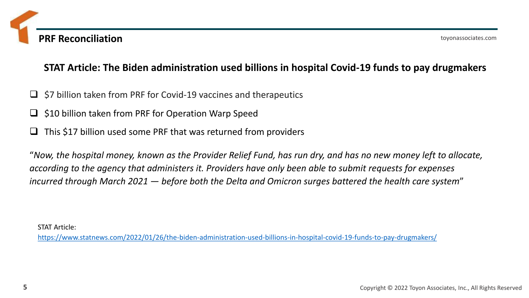### **STAT Article: The Biden administration used billions in hospital Covid-19 funds to pay drugmakers**

- ❑ \$7 billion taken from PRF for Covid-19 vaccines and therapeutics
- \$10 billion taken from PRF for Operation Warp Speed
- ❑ This \$17 billion used some PRF that was returned from providers

"*Now, the hospital money, known as the Provider Relief Fund, has run dry, and has no new money left to allocate, according to the agency that administers it. Providers have only been able to submit requests for expenses incurred through March 2021 — before both the Delta and Omicron surges battered the health care system*"

STAT Article:

<https://www.statnews.com/2022/01/26/the-biden-administration-used-billions-in-hospital-covid-19-funds-to-pay-drugmakers/>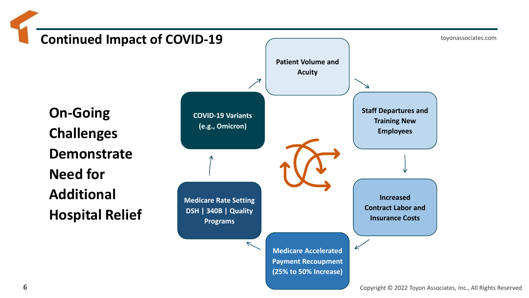toyonassociates.com **Continued Impact of COVID-19 Patient Volume and Acuity Staff Departures and Training New Employees Increased Contract Labor and Insurance Costs Medicare Accelerated Payment Recoupment (25% to 50% Increase) Medicare Rate Setting DSH | 340B | Quality Programs COVID-19 Variants (e.g., Omicron) On-Going Challenges Demonstrate Need for Additional Hospital Relief**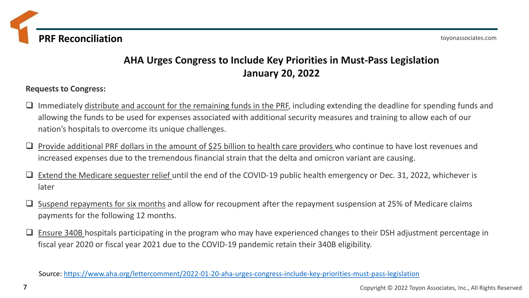**PRF Reconciliation**

### **AHA Urges Congress to Include Key Priorities in Must-Pass Legislation January 20, 2022**

#### **Requests to Congress:**

- ❑ Immediately distribute and account for the remaining funds in the PRF, including extending the deadline for spending funds and allowing the funds to be used for expenses associated with additional security measures and training to allow each of our nation's hospitals to overcome its unique challenges.
- □ Provide additional PRF dollars in the amount of \$25 billion to health care providers who continue to have lost revenues and increased expenses due to the tremendous financial strain that the delta and omicron variant are causing.
- Extend the Medicare sequester relief until the end of the COVID-19 public health emergency or Dec. 31, 2022, whichever is later
- ❑ Suspend repayments for six months and allow for recoupment after the repayment suspension at 25% of Medicare claims payments for the following 12 months.
- ❑ Ensure 340B hospitals participating in the program who may have experienced changes to their DSH adjustment percentage in fiscal year 2020 or fiscal year 2021 due to the COVID-19 pandemic retain their 340B eligibility.

Source: <https://www.aha.org/lettercomment/2022-01-20-aha-urges-congress-include-key-priorities-must-pass-legislation>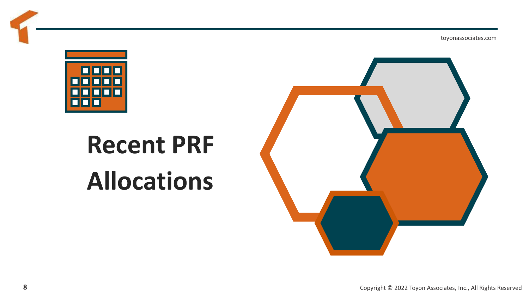

# **Recent PRF Allocations**

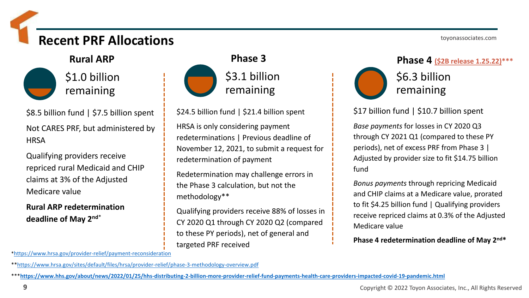### **Recent PRF Allocations**



\$8.5 billion fund | \$7.5 billion spent Not CARES PRF, but administered by **HRSA** 

Qualifying providers receive repriced rural Medicaid and CHIP claims at 3% of the Adjusted Medicare value

**Rural ARP redetermination deadline of May 2nd**\*



### \$3.1 billion remaining

\$24.5 billion fund | \$21.4 billion spent

HRSA is only considering payment redeterminations | Previous deadline of November 12, 2021, to submit a request for redetermination of payment

Redetermination may challenge errors in the Phase 3 calculation, but not the methodology\*\*

Qualifying providers receive 88% of losses in CY 2020 Q1 through CY 2020 Q2 (compared to these PY periods), net of general and targeted PRF received

\$6.3 billion

toyonassociates.com

remaining

\$17 billion fund | \$10.7 billion spent

*Base payments* for losses in CY 2020 Q3 through CY 2021 Q1 (compared to these PY periods), net of excess PRF from Phase 3 | Adjusted by provider size to fit \$14.75 billion fund

*Bonus payments* through repricing Medicaid and CHIP claims at a Medicare value, prorated to fit \$4.25 billion fund | Qualifying providers receive repriced claims at 0.3% of the Adjusted Medicare value

**Phase 4 redetermination deadline of May 2nd\***

\*<https://www.hrsa.gov/provider-relief/payment-reconsideration>

\*[\\*https://www.hrsa.gov/sites/default/files/hrsa/provider-relief/phase-3-methodology-overview.pdf](https://www.hrsa.gov/sites/default/files/hrsa/provider-relief/phase-3-methodology-overview.pdf)

\*\*\***<https://www.hhs.gov/about/news/2022/01/25/hhs-distributing-2-billion-more-provider-relief-fund-payments-health-care-providers-impacted-covid-19-pandemic.html>**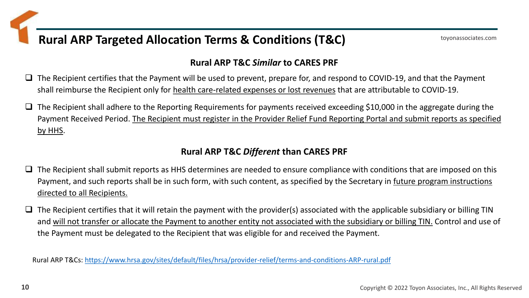### **Rural ARP Targeted Allocation Terms & Conditions (T&C)**

### **Rural ARP T&C** *Similar* **to CARES PRF**

- $\square$  The Recipient certifies that the Payment will be used to prevent, prepare for, and respond to COVID-19, and that the Payment shall reimburse the Recipient only for health care-related expenses or lost revenues that are attributable to COVID-19.
- ❑ The Recipient shall adhere to the Reporting Requirements for payments received exceeding \$10,000 in the aggregate during the Payment Received Period. The Recipient must register in the Provider Relief Fund Reporting Portal and submit reports as specified by HHS.

### **Rural ARP T&C** *Different* **than CARES PRF**

- ❑ The Recipient shall submit reports as HHS determines are needed to ensure compliance with conditions that are imposed on this Payment, and such reports shall be in such form, with such content, as specified by the Secretary in future program instructions directed to all Recipients.
- $\square$  The Recipient certifies that it will retain the payment with the provider(s) associated with the applicable subsidiary or billing TIN and will not transfer or allocate the Payment to another entity not associated with the subsidiary or billing TIN. Control and use of the Payment must be delegated to the Recipient that was eligible for and received the Payment.

Rural ARP T&Cs: <https://www.hrsa.gov/sites/default/files/hrsa/provider-relief/terms-and-conditions-ARP-rural.pdf>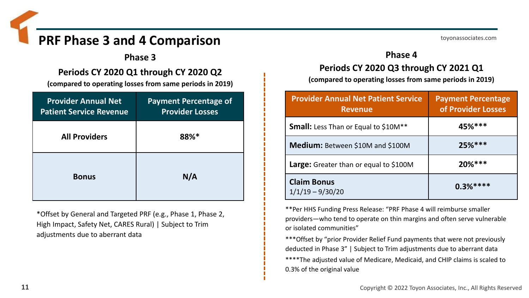### **PRF Phase 3 and 4 Comparison**

**Phase 3**

**Periods CY 2020 Q1 through CY 2020 Q2** 

**(compared to operating losses from same periods in 2019)**

| <b>Provider Annual Net</b><br><b>Patient Service Revenue</b> | <b>Payment Percentage of</b><br><b>Provider Losses</b> |
|--------------------------------------------------------------|--------------------------------------------------------|
| <b>All Providers</b>                                         | 88%*                                                   |
| <b>Bonus</b>                                                 | N/A                                                    |

\*Offset by General and Targeted PRF (e.g., Phase 1, Phase 2, High Impact, Safety Net, CARES Rural) | Subject to Trim adjustments due to aberrant data

### **Phase 4**

### **Periods CY 2020 Q3 through CY 2021 Q1**

**(compared to operating losses from same periods in 2019)**

| <b>Provider Annual Net Patient Service</b><br><b>Revenue</b> | <b>Payment Percentage</b><br>of Provider Losses |
|--------------------------------------------------------------|-------------------------------------------------|
| <b>Small:</b> Less Than or Equal to \$10M <sup>**</sup>      | $45%***$                                        |
| Medium: Between \$10M and \$100M                             | $25%***$                                        |
| Large: Greater than or equal to \$100M                       | $20%***$                                        |
| <b>Claim Bonus</b><br>$1/1/19 - 9/30/20$                     | $0.3%***$                                       |

\*\*Per HHS Funding Press Release: "PRF Phase 4 will reimburse smaller providers—who tend to operate on thin margins and often serve vulnerable or isolated communities"

\*\*\*Offset by "prior Provider Relief Fund payments that were not previously deducted in Phase 3" | Subject to Trim adjustments due to aberrant data \*\*\*\*The adjusted value of Medicare, Medicaid, and CHIP claims is scaled to 0.3% of the original value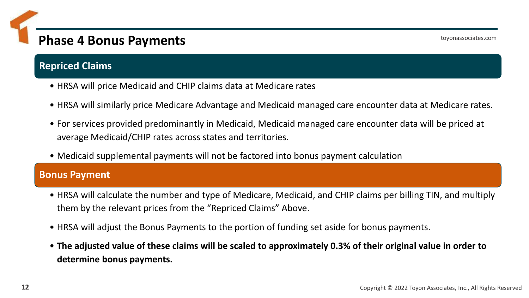### **Phase 4 Bonus Payments**

### **Repriced Claims**

- HRSA will price Medicaid and CHIP claims data at Medicare rates
- HRSA will similarly price Medicare Advantage and Medicaid managed care encounter data at Medicare rates.
- For services provided predominantly in Medicaid, Medicaid managed care encounter data will be priced at average Medicaid/CHIP rates across states and territories.
- Medicaid supplemental payments will not be factored into bonus payment calculation

### **Bonus Payment**

- HRSA will calculate the number and type of Medicare, Medicaid, and CHIP claims per billing TIN, and multiply them by the relevant prices from the "Repriced Claims" Above.
- HRSA will adjust the Bonus Payments to the portion of funding set aside for bonus payments.
- **The adjusted value of these claims will be scaled to approximately 0.3% of their original value in order to determine bonus payments.**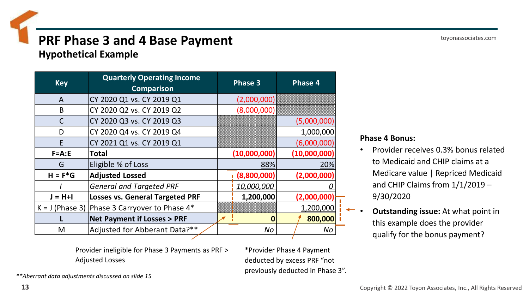### **PRF Phase 3 and 4 Base Payment**

**Hypothetical Example**

| <b>Key</b>        | <b>Quarterly Operating Income</b><br><b>Comparison</b> | <b>Phase 3</b> | Phase 4      |
|-------------------|--------------------------------------------------------|----------------|--------------|
| A                 | CY 2020 Q1 vs. CY 2019 Q1                              | (2,000,000)    |              |
| B                 | CY 2020 Q2 vs. CY 2019 Q2                              | (8,000,000)    |              |
| $\mathsf{C}$      | CY 2020 Q3 vs. CY 2019 Q3                              |                | (5,000,000)  |
| D                 | CY 2020 Q4 vs. CY 2019 Q4                              |                | 1,000,000    |
| E                 | CY 2021 Q1 vs. CY 2019 Q1                              |                | (6,000,000)  |
| $F = A : E$       | <b>Total</b>                                           | (10,000,000)   | (10,000,000) |
| G                 | Eligible % of Loss                                     | 88%            | 20%          |
| $H = F^*G$        | <b>Adjusted Lossed</b>                                 | (8,800,000)    | (2,000,000)  |
|                   | <b>General and Targeted PRF</b>                        | 10,000,000     |              |
| $J = H + I$       | <b>Losses vs. General Targeted PRF</b>                 | 1,200,000      | (2,000,000)  |
| $K = J$ (Phase 3) | Phase 3 Carryover to Phase 4*                          |                | 1,200,000    |
|                   | <b>Net Payment if Losses &gt; PRF</b>                  | $\bf{0}$       | 800,000      |
| M                 | Adjusted for Abberant Data?**                          | No             | No           |

#### **Phase 4 Bonus:**

- Provider receives 0.3% bonus related to Medicaid and CHIP claims at a Medicare value | Repriced Medicaid and CHIP Claims from 1/1/2019 – 9/30/2020
- **Outstanding issue:** At what point in this example does the provider qualify for the bonus payment?

Provider ineligible for Phase 3 Payments as PRF > Adjusted Losses

\*Provider Phase 4 Payment deducted by excess PRF "not previously deducted in Phase 3".

*\*\*Aberrant data adjustments discussed on slide 15*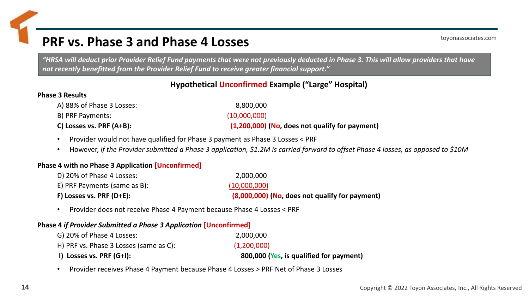### **PRF vs. Phase 3 and Phase 4 Losses**

toyonassociates.com

*"HRSA will deduct prior Provider Relief Fund payments that were not previously deducted in Phase 3. This will allow providers that have not recently benefitted from the Provider Relief Fund to receive greater financial support."*

#### **Hypothetical Unconfirmed Example ("Large" Hospital)**

#### **Phase 3 Results**

- A) 88% of Phase 3 Losses: 8,800,000
- B) PRF Payments: (10,000,000)
- 

**C) Losses vs. PRF (A+B): (1,200,000) (No, does not qualify for payment)**

- Provider would not have qualified for Phase 3 payment as Phase 3 Losses < PRF
- However, *if the Provider submitted a Phase 3 application, \$1.2M is carried forward to offset Phase 4 losses, as opposed to \$10M*

#### **Phase 4 with no Phase 3 Application [Unconfirmed]**

| $F$ ) Losses vs. PRF (D+E):  | (8,000,000) (No, does not qualify for payment) |
|------------------------------|------------------------------------------------|
| E) PRF Payments (same as B): | (10,000,000)                                   |
| D) 20% of Phase 4 Losses:    | 2,000,000                                      |

• Provider does not receive Phase 4 Payment because Phase 4 Losses < PRF

#### **Phase 4** *if Provider Submitted a Phase 3 Application* **[Unconfirmed]**

| G) 20% of Phase 4 Losses:              | 2,000,000                               |
|----------------------------------------|-----------------------------------------|
| H) PRF vs. Phase 3 Losses (same as C): | (1,200,000)                             |
| I) Losses vs. PRF (G+I):               | 800,000 (Yes, is qualified for payment) |

• Provider receives Phase 4 Payment because Phase 4 Losses > PRF Net of Phase 3 Losses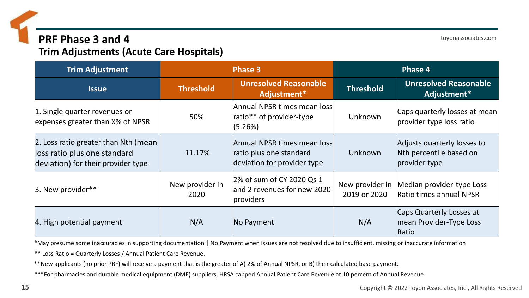### **PRF Phase 3 and 4**

**Trim Adjustments (Acute Care Hospitals)**

**Trim Adjustment Phase 3 Phase 4 Issue Threshold Unresolved Reasonable**<br> **Issue Threshold CO Adjustment**<sup>\*</sup> **Adjustment\* Threshold Unresolved Reasonable Adjustment\*** 1. Single quarter revenues or expenses greater than X% of NPSR 50% Annual NPSR times mean loss ratio\*\* of provider-type (5.26%) Unknown Caps quarterly losses at mean provider type loss ratio 2. Loss ratio greater than Nth (mean loss ratio plus one standard deviation) for their provider type 11.17% Annual NPSR times mean loss ratio plus one standard deviation for provider type Unknown Adjusts quarterly losses to Nth percentile based on provider type  $\vert$ 3. New provider\*\*  $\vert$  New provider in 2020 2% of sum of CY 2020 Qs 1 and 2 revenues for new 2020 providers New provider in 2019 or 2020 Median provider-type Loss Ratio times annual NPSR

|4. High potential payment  $N/A$  No Payment N/A N/A Caps Quarterly Losses at mean Provider-Type Loss **Ratio** 

\*May presume some inaccuracies in supporting documentation | No Payment when issues are not resolved due to insufficient, missing or inaccurate information

\*\* Loss Ratio = Quarterly Losses / Annual Patient Care Revenue.

\*\*New applicants (no prior PRF) will receive a payment that is the greater of A) 2% of Annual NPSR, or B) their calculated base payment.

\*\*\*For pharmacies and durable medical equipment (DME) suppliers, HRSA capped Annual Patient Care Revenue at 10 percent of Annual Revenue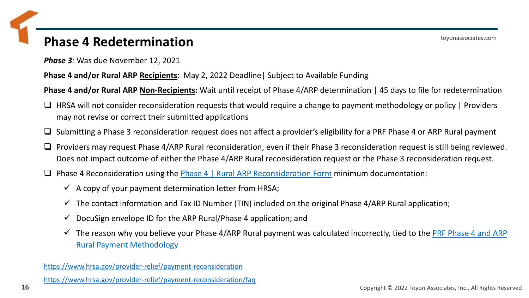### **Phase 4 Redetermination**

*Phase 3:* Was due November 12, 2021

**Phase 4 and/or Rural ARP Recipients**: May 2, 2022 Deadline| Subject to Available Funding

**Phase 4 and/or Rural ARP Non-Recipients:** Wait until receipt of Phase 4/ARP determination | 45 days to file for redetermination

- ❑ HRSA will not consider reconsideration requests that would require a change to payment methodology or policy | Providers may not revise or correct their submitted applications
- ❑ Submitting a Phase 3 reconsideration request does not affect a provider's eligibility for a PRF Phase 4 or ARP Rural payment
- ❑ Providers may request Phase 4/ARP Rural reconsideration, even if their Phase 3 reconsideration request is still being reviewed. Does not impact outcome of either the Phase 4/ARP Rural reconsideration request or the Phase 3 reconsideration request.
- □ Phase 4 Reconsideration using the [Phase 4 | Rural ARP Reconsideration Form](https://powerforms.docusign.net/034c7d84-45d9-40c2-9d0b-c4648f225bc3?env=na3&acct=dd54316c-1c18-48c9-8864-0c38b91a6291&accountId=dd54316c-1c18-48c9-8864-0c38b91a6291) minimum documentation:
	- $\checkmark$  A copy of your payment determination letter from HRSA;
	- $\checkmark$  The contact information and Tax ID Number (TIN) included on the original Phase 4/ARP Rural application;
	- $\checkmark$  DocuSign envelope ID for the ARP Rural/Phase 4 application; and
	- $\checkmark$  [The reason why you believe your Phase 4/ARP Rural payment was calculated incorrectly, tied to the](https://www.hrsa.gov/provider-relief/future-payments/phase-4-arp-rural/payment-methodology) PRF Phase 4 and ARP Rural Payment Methodology

<https://www.hrsa.gov/provider-relief/payment-reconsideration>

<https://www.hrsa.gov/provider-relief/payment-reconsideration/faq>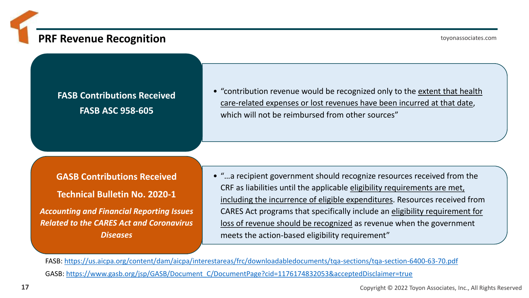### **PRF Revenue Recognition**

toyonassociates.com

### **FASB Contributions Received FASB ASC 958-605**

• "contribution revenue would be recognized only to the extent that health care-related expenses or lost revenues have been incurred at that date, which will not be reimbursed from other sources"

**GASB Contributions Received Technical Bulletin No. 2020-1** *Accounting and Financial Reporting Issues* 

*Related to the CARES Act and Coronavirus Diseases* 

• "…a recipient government should recognize resources received from the CRF as liabilities until the applicable eligibility requirements are met, including the incurrence of eligible expenditures. Resources received from CARES Act programs that specifically include an eligibility requirement for loss of revenue should be recognized as revenue when the government meets the action-based eligibility requirement"

FASB: <https://us.aicpa.org/content/dam/aicpa/interestareas/frc/downloadabledocuments/tqa-sections/tqa-section-6400-63-70.pdf> GASB: [https://www.gasb.org/jsp/GASB/Document\\_C/DocumentPage?cid=1176174832053&acceptedDisclaimer=true](https://www.gasb.org/jsp/GASB/Document_C/DocumentPage?cid=1176174832053&acceptedDisclaimer=true)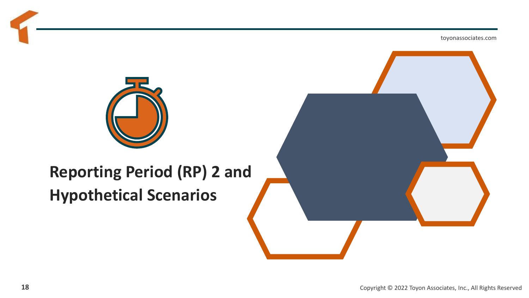

### **Reporting Period (RP) 2 and Hypothetical Scenarios**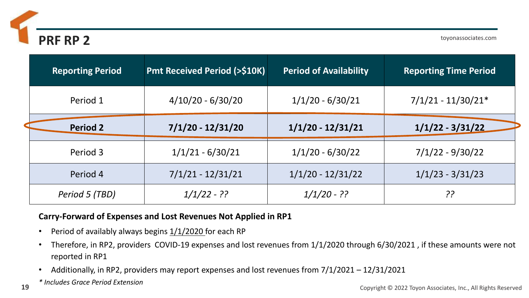

⊃

| <b>Reporting Period</b> | <b>Pmt Received Period (&gt;\$10K)</b> | <b>Period of Availability</b> | <b>Reporting Time Period</b> |
|-------------------------|----------------------------------------|-------------------------------|------------------------------|
| Period 1                | $4/10/20 - 6/30/20$                    | $1/1/20 - 6/30/21$            | $7/1/21 - 11/30/21*$         |
| <b>Period 2</b>         | $7/1/20 - 12/31/20$                    | $1/1/20 - 12/31/21$           | $1/1/22 - 3/31/22$           |
| Period 3                | $1/1/21 - 6/30/21$                     | $1/1/20 - 6/30/22$            | $7/1/22 - 9/30/22$           |
| Period 4                | $7/1/21 - 12/31/21$                    | $1/1/20 - 12/31/22$           | $1/1/23 - 3/31/23$           |
| Period 5 (TBD)          | $1/1/22 - ??$                          | $1/1/20 - ??$                 | ??                           |

### **Carry-Forward of Expenses and Lost Revenues Not Applied in RP1**

- Period of availably always begins  $1/1/2020$  for each RP
- Therefore, in RP2, providers COVID-19 expenses and lost revenues from 1/1/2020 through 6/30/2021 , if these amounts were not reported in RP1
- Additionally, in RP2, providers may report expenses and lost revenues from 7/1/2021 12/31/2021
- *\* Includes Grace Period Extension*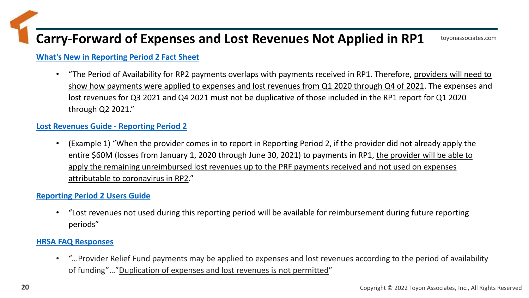### **Carry-Forward of Expenses and Lost Revenues Not Applied in RP1**

#### **[What's New in Reporting Period 2 Fact Sheet](https://nam02.safelinks.protection.outlook.com/?url=https%3A%2F%2Fr20.rs6.net%2Ftn.jsp%3Ff%3D001kQ1Eo08vegWwik7mUF7larQtGxAEesvOlt4Q6EJ1CXvr1KbI9fICmNdMR5g5p2Ptz854DOdTKwhthl0Zgh0NYTTifXk6gfc82zfFf9fYwpRnKTp4fuiJ7YT-CCTb3bpP9FR-A-ZAGkdgiPzrqZwZQU4w9ZqWrAzt8MBixetxycmneRTmJS4LC0z81_DlLv564sCrjtkrjHvBSLr6u4bxRzRIjrmJNIW0gRM3kAypnATOV5lcirBsD4tn0GBGAauf%26c%3D4BQnoev247iqfLq1bGP-dTKYwwJRoywJLqIgXFhlCxWTpdMZ0lRQ8w%3D%3D%26ch%3Dr9RD_3rRpNrupOhDHXW-QvLljbiL-L5RxXb2Q3YHq_dO1aDsFVahVw%3D%3D&data=04%7C01%7Cfred.fisher%40toyonassociates.com%7Cd5b9291ef5ab42e602ff08d9d79c141b%7Cb9e01c2d96de4991a9b207fd941a54e0%7C0%7C0%7C637777887648484374%7CUnknown%7CTWFpbGZsb3d8eyJWIjoiMC4wLjAwMDAiLCJQIjoiV2luMzIiLCJBTiI6Ik1haWwiLCJXVCI6Mn0%3D%7C3000&sdata=HHTBr9K%2F3AtiqwXiT0qDJRwWW4Q5XgC77ZhOUegaUaI%3D&reserved=0)**

• "The Period of Availability for RP2 payments overlaps with payments received in RP1. Therefore, providers will need to show how payments were applied to expenses and lost revenues from Q1 2020 through Q4 of 2021. The expenses and lost revenues for Q3 2021 and Q4 2021 must not be duplicative of those included in the RP1 report for Q1 2020 through Q2 2021."

#### **[Lost Revenues Guide -](https://nam02.safelinks.protection.outlook.com/?url=https%3A%2F%2Fr20.rs6.net%2Ftn.jsp%3Ff%3D001kQ1Eo08vegWwik7mUF7larQtGxAEesvOlt4Q6EJ1CXvr1KbI9fICmNdMR5g5p2PtWBRV3MOFKJEi0gAqQVF-eDxGD7EhQhhy9CA488XryGig8R9NydB3IwkcrgkbxjCFot86kCVV17mXxwpUdZC_WCWMhHDRF1tQS5x9I65COsor9I2twALK-TfDBnFteEIaBNoOF3x9_JackA3RDMp9G4nV-J9O0mYRWtNWg0npgTKsgIyI96s-5hqB3bKzXSUK%26c%3D4BQnoev247iqfLq1bGP-dTKYwwJRoywJLqIgXFhlCxWTpdMZ0lRQ8w%3D%3D%26ch%3Dr9RD_3rRpNrupOhDHXW-QvLljbiL-L5RxXb2Q3YHq_dO1aDsFVahVw%3D%3D&data=04%7C01%7Cfred.fisher%40toyonassociates.com%7Cd5b9291ef5ab42e602ff08d9d79c141b%7Cb9e01c2d96de4991a9b207fd941a54e0%7C0%7C0%7C637777887648484374%7CUnknown%7CTWFpbGZsb3d8eyJWIjoiMC4wLjAwMDAiLCJQIjoiV2luMzIiLCJBTiI6Ik1haWwiLCJXVCI6Mn0%3D%7C3000&sdata=LIs8rmJ7nmoNO%2F8ssBO9IVowirEzl7bR7GyIOWQiLBo%3D&reserved=0) Reporting Period 2**

• (Example 1) "When the provider comes in to report in Reporting Period 2, if the provider did not already apply the entire \$60M (losses from January 1, 2020 through June 30, 2021) to payments in RP1, the provider will be able to apply the remaining unreimbursed lost revenues up to the PRF payments received and not used on expenses attributable to coronavirus in RP2."

#### **[Reporting Period 2 Users Guide](https://nam02.safelinks.protection.outlook.com/?url=https%3A%2F%2Fr20.rs6.net%2Ftn.jsp%3Ff%3D001kQ1Eo08vegWwik7mUF7larQtGxAEesvOlt4Q6EJ1CXvr1KbI9fICmNdMR5g5p2Pt-pfN7tT50B55Y-2umJV-sRd7YVbtUa3qP-kenk_P4OwTz338hobvL8BKiAf_0m-6Y-iNY084hhgLVW-nsj70tpaYnrSlf99Lb_rKFitcQlIWGa3hpTBiWq2S0HCrByc-Om9sxkY94CBvXlEwOaMiVA%3D%3D%26c%3D4BQnoev247iqfLq1bGP-dTKYwwJRoywJLqIgXFhlCxWTpdMZ0lRQ8w%3D%3D%26ch%3Dr9RD_3rRpNrupOhDHXW-QvLljbiL-L5RxXb2Q3YHq_dO1aDsFVahVw%3D%3D&data=04%7C01%7Cfred.fisher%40toyonassociates.com%7Cd5b9291ef5ab42e602ff08d9d79c141b%7Cb9e01c2d96de4991a9b207fd941a54e0%7C0%7C0%7C637777887648484374%7CUnknown%7CTWFpbGZsb3d8eyJWIjoiMC4wLjAwMDAiLCJQIjoiV2luMzIiLCJBTiI6Ik1haWwiLCJXVCI6Mn0%3D%7C3000&sdata=ueGe7K8tBaVKy1BMF6%2FRRc5rmotTcfokhglafE62nMs%3D&reserved=0)**

• "Lost revenues not used during this reporting period will be available for reimbursement during future reporting periods"

#### **[HRSA FAQ Responses](https://www.hrsa.gov/sites/default/files/hrsa/provider-relief/provider-relief-fund-faq-complete.pdf)**

• "...Provider Relief Fund payments may be applied to expenses and lost revenues according to the period of availability of funding"…"Duplication of expenses and lost revenues is not permitted"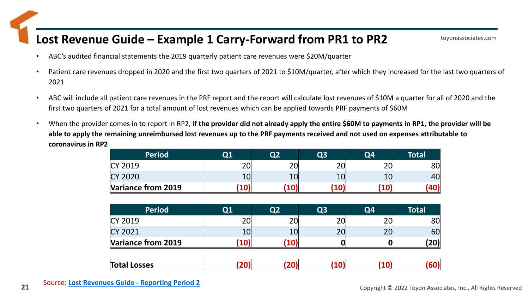### **Lost Revenue Guide – Example 1 Carry-Forward from PR1 to PR2**

- ABC's audited financial statements the 2019 quarterly patient care revenues were \$20M/quarter
- Patient care revenues dropped in 2020 and the first two quarters of 2021 to \$10M/quarter, after which they increased for the last two quarters of 2021
- ABC will include all patient care revenues in the PRF report and the report will calculate lost revenues of \$10M a quarter for all of 2020 and the first two quarters of 2021 for a total amount of lost revenues which can be applied towards PRF payments of \$60M
- When the provider comes in to report in RP2, **if the provider did not already apply the entire \$60M to payments in RP1, the provider will be able to apply the remaining unreimbursed lost revenues up to the PRF payments received and not used on expenses attributable to coronavirus in RP2**

| <b>Period</b>      | Q1 | റാ       | Q3 | Q4             | Total |
|--------------------|----|----------|----|----------------|-------|
| CY 2019            | 20 | $\Omega$ | ົາ | $\mathcal{D}$  | 80    |
| <b>CY 2020</b>     | 10 |          | ᅩ◡ | 1 <sub>0</sub> | 40    |
| Variance from 2019 |    |          |    |                |       |

| <b>Period</b>      | $\bf Q1$   | Q2 | Q <sub>3</sub> | Q4            | Total |
|--------------------|------------|----|----------------|---------------|-------|
| <b>CY 2019</b>     | n n        |    | าก             | nr            | 80    |
| <b>CY 2021</b>     |            |    | 20             | $\mathcal{L}$ | 60    |
| Variance from 2019 | <b>TO,</b> |    |                |               | (20)  |

|--|--|--|--|--|--|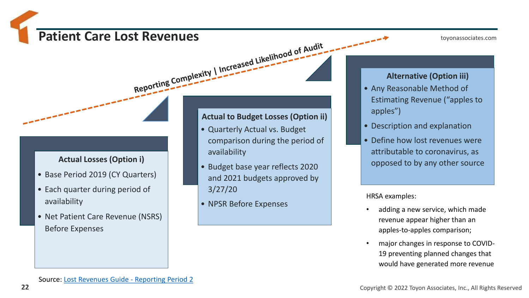# Patient Care Lost Revenues

toyonassociates.com

### **Actual Losses (Option i)**

- Base Period 2019 (CY Quarters)
- Each quarter during period of availability
- Net Patient Care Revenue (NSRS) Before Expenses

#### **Actual to Budget Losses (Option ii)**

- Quarterly Actual vs. Budget comparison during the period of availability
- Budget base year reflects 2020 and 2021 budgets approved by 3/27/20
- NPSR Before Expenses

#### **Alternative (Option iii)**

- Any Reasonable Method of Estimating Revenue ("apples to apples")
- Description and explanation
- Define how lost revenues were attributable to coronavirus, as opposed to by any other source

HRSA examples:

- adding a new service, which made revenue appear higher than an apples-to-apples comparison;
- major changes in response to COVID-19 preventing planned changes that would have generated more revenue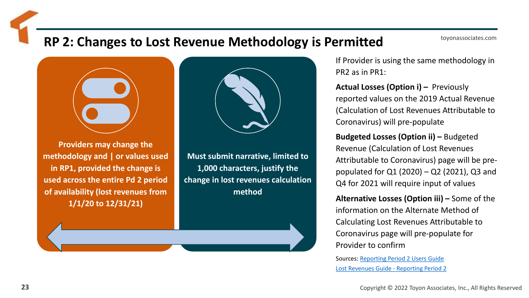### **RP 2: Changes to Lost Revenue Methodology is Permitted**



**Providers may change the methodology and | or values used in RP1, provided the change is used across the entire Pd 2 period of availability (lost revenues from 1/1/20 to 12/31/21)**



**Must submit narrative, limited to 1,000 characters, justify the change in lost revenues calculation method**

If Provider is using the same methodology in PR2 as in PR1:

**Actual Losses (Option i) – Previously** reported values on the 2019 Actual Revenue (Calculation of Lost Revenues Attributable to Coronavirus) will pre-populate

**Budgeted Losses (Option ii) –** Budgeted Revenue (Calculation of Lost Revenues Attributable to Coronavirus) page will be prepopulated for Q1 (2020) – Q2 (2021), Q3 and Q4 for 2021 will require input of values

**Alternative Losses (Option iii) –** Some of the information on the Alternate Method of Calculating Lost Revenues Attributable to Coronavirus page will pre-populate for Provider to confirm

Sources: [Reporting Period 2 Users Guide](https://nam02.safelinks.protection.outlook.com/?url=https%3A%2F%2Fr20.rs6.net%2Ftn.jsp%3Ff%3D001kQ1Eo08vegWwik7mUF7larQtGxAEesvOlt4Q6EJ1CXvr1KbI9fICmNdMR5g5p2Pt-pfN7tT50B55Y-2umJV-sRd7YVbtUa3qP-kenk_P4OwTz338hobvL8BKiAf_0m-6Y-iNY084hhgLVW-nsj70tpaYnrSlf99Lb_rKFitcQlIWGa3hpTBiWq2S0HCrByc-Om9sxkY94CBvXlEwOaMiVA%3D%3D%26c%3D4BQnoev247iqfLq1bGP-dTKYwwJRoywJLqIgXFhlCxWTpdMZ0lRQ8w%3D%3D%26ch%3Dr9RD_3rRpNrupOhDHXW-QvLljbiL-L5RxXb2Q3YHq_dO1aDsFVahVw%3D%3D&data=04%7C01%7Cfred.fisher%40toyonassociates.com%7Cd5b9291ef5ab42e602ff08d9d79c141b%7Cb9e01c2d96de4991a9b207fd941a54e0%7C0%7C0%7C637777887648484374%7CUnknown%7CTWFpbGZsb3d8eyJWIjoiMC4wLjAwMDAiLCJQIjoiV2luMzIiLCJBTiI6Ik1haWwiLCJXVCI6Mn0%3D%7C3000&sdata=ueGe7K8tBaVKy1BMF6%2FRRc5rmotTcfokhglafE62nMs%3D&reserved=0) [Lost Revenues Guide -](https://nam02.safelinks.protection.outlook.com/?url=https%3A%2F%2Fr20.rs6.net%2Ftn.jsp%3Ff%3D001kQ1Eo08vegWwik7mUF7larQtGxAEesvOlt4Q6EJ1CXvr1KbI9fICmNdMR5g5p2PtWBRV3MOFKJEi0gAqQVF-eDxGD7EhQhhy9CA488XryGig8R9NydB3IwkcrgkbxjCFot86kCVV17mXxwpUdZC_WCWMhHDRF1tQS5x9I65COsor9I2twALK-TfDBnFteEIaBNoOF3x9_JackA3RDMp9G4nV-J9O0mYRWtNWg0npgTKsgIyI96s-5hqB3bKzXSUK%26c%3D4BQnoev247iqfLq1bGP-dTKYwwJRoywJLqIgXFhlCxWTpdMZ0lRQ8w%3D%3D%26ch%3Dr9RD_3rRpNrupOhDHXW-QvLljbiL-L5RxXb2Q3YHq_dO1aDsFVahVw%3D%3D&data=04%7C01%7Cfred.fisher%40toyonassociates.com%7Cd5b9291ef5ab42e602ff08d9d79c141b%7Cb9e01c2d96de4991a9b207fd941a54e0%7C0%7C0%7C637777887648484374%7CUnknown%7CTWFpbGZsb3d8eyJWIjoiMC4wLjAwMDAiLCJQIjoiV2luMzIiLCJBTiI6Ik1haWwiLCJXVCI6Mn0%3D%7C3000&sdata=LIs8rmJ7nmoNO%2F8ssBO9IVowirEzl7bR7GyIOWQiLBo%3D&reserved=0) Reporting Period 2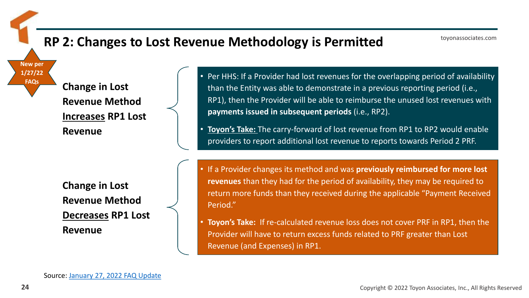### **RP 2: Changes to Lost Revenue Methodology is Permitted**

**Change in Lost Revenue Method Increases RP1 Lost** 

**Revenue**

• Per HHS: If a Provider had lost revenues for the overlapping period of availability than the Entity was able to demonstrate in a previous reporting period (i.e., RP1), then the Provider will be able to reimburse the unused lost revenues with **payments issued in subsequent periods** (i.e., RP2).

• **Toyon's Take:** The carry-forward of lost revenue from RP1 to RP2 would enable providers to report additional lost revenue to reports towards Period 2 PRF.

**Change in Lost Revenue Method Decreases RP1 Lost Revenue** 

• If a Provider changes its method and was **previously reimbursed for more lost revenues** than they had for the period of availability, they may be required to return more funds than they received during the applicable "Payment Received Period."

• **Toyon's Take:** If re-calculated revenue loss does not cover PRF in RP1, then the Provider will have to return excess funds related to PRF greater than Lost Revenue (and Expenses) in RP1.

Source: [January 27, 2022](https://www.hrsa.gov/sites/default/files/hrsa/provider-relief/provider-relief-fund-faq-complete.pdf) FAQ Update

**New per 1/27/22 FAQs**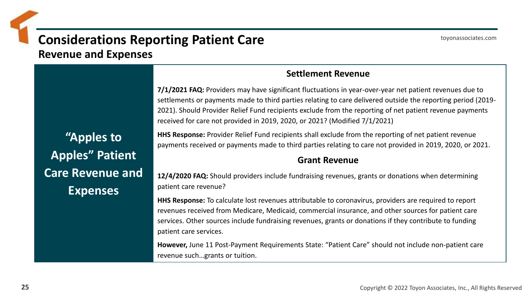### **Considerations Reporting Patient Care**

**Revenue and Expenses**

**"Apples to Apples" Patient Care Revenue and Expenses**

### **Settlement Revenue**

**7/1/2021 FAQ:** Providers may have significant fluctuations in year-over-year net patient revenues due to settlements or payments made to third parties relating to care delivered outside the reporting period (2019- 2021). Should Provider Relief Fund recipients exclude from the reporting of net patient revenue payments received for care not provided in 2019, 2020, or 2021? (Modified 7/1/2021)

**HHS Response:** Provider Relief Fund recipients shall exclude from the reporting of net patient revenue payments received or payments made to third parties relating to care not provided in 2019, 2020, or 2021.

### **Grant Revenue**

**12/4/2020 FAQ:** Should providers include fundraising revenues, grants or donations when determining patient care revenue?

**HHS Response:** To calculate lost revenues attributable to coronavirus, providers are required to report revenues received from Medicare, Medicaid, commercial insurance, and other sources for patient care services. Other sources include fundraising revenues, grants or donations if they contribute to funding patient care services.

**However,** June 11 Post-Payment Requirements State: "Patient Care" should not include non-patient care revenue such…grants or tuition.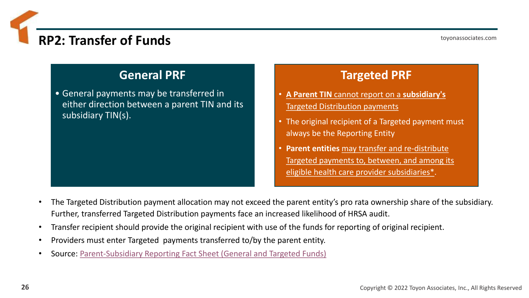### **RP2: Transfer of Funds**

### **General PRF**

• General payments may be transferred in either direction between a parent TIN and its subsidiary TIN(s).

### **Targeted PRF**

- **A Parent TIN** cannot report on a **subsidiary's**  Targeted Distribution payments
- The original recipient of a Targeted payment must always be the Reporting Entity
- **Parent entities** may transfer and re-distribute Targeted payments to, between, and among its eligible health care provider subsidiaries\*.
- The Targeted Distribution payment allocation may not exceed the parent entity's pro rata ownership share of the subsidiary. Further, transferred Targeted Distribution payments face an increased likelihood of HRSA audit.
- Transfer recipient should provide the original recipient with use of the funds for reporting of original recipient.
- Providers must enter Targeted payments transferred to/by the parent entity.
- Source: [Parent-Subsidiary Reporting Fact Sheet \(General and Targeted Funds\)](https://nam02.safelinks.protection.outlook.com/?url=https%3A%2F%2Fr20.rs6.net%2Ftn.jsp%3Ff%3D001kQ1Eo08vegWwik7mUF7larQtGxAEesvOlt4Q6EJ1CXvr1KbI9fICmNdMR5g5p2Ptyq8GVwIDil5t4-wxJP4sCBpQHV0-DKIfqhJ7ZHbAEDu_gkHKvL_vJgYDPhZJgYZOHaL-cAhxmMYpSWiq8KyOT6Dk9rWOKJ0iaxiTGmOoe-wf--KINm9azznr09xuva2CthCGaHirIhELBv-1nq8H74f2BLfHOOBmbTFiQ9nkgHkwvPK_X3HmFBgqv_Rc6JnJE_bqKyryHLQ%3D%26c%3D4BQnoev247iqfLq1bGP-dTKYwwJRoywJLqIgXFhlCxWTpdMZ0lRQ8w%3D%3D%26ch%3Dr9RD_3rRpNrupOhDHXW-QvLljbiL-L5RxXb2Q3YHq_dO1aDsFVahVw%3D%3D&data=04%7C01%7Cfred.fisher%40toyonassociates.com%7Cd5b9291ef5ab42e602ff08d9d79c141b%7Cb9e01c2d96de4991a9b207fd941a54e0%7C0%7C0%7C637777887648484374%7CUnknown%7CTWFpbGZsb3d8eyJWIjoiMC4wLjAwMDAiLCJQIjoiV2luMzIiLCJBTiI6Ik1haWwiLCJXVCI6Mn0%3D%7C3000&sdata=RDpDYbJKxCiHkSdAOaVLAsMpsH6hRmomzDCo5gqQ%2FD8%3D&reserved=0)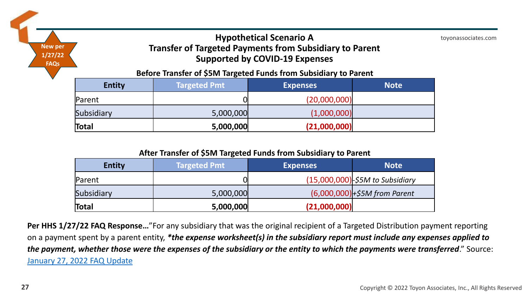### **Hypothetical Scenario A Transfer of Targeted Payments from Subsidiary to Parent Supported by COVID-19 Expenses**

**Before Transfer of \$5M Targeted Funds from Subsidiary to Parent**

| <b>Entity</b> | Targeted Pmt | <b>Expenses</b> | <b>Note</b> |
|---------------|--------------|-----------------|-------------|
| Parent        |              | (20,000,000)    |             |
| Subsidiary    | 5,000,000    | (1,000,000)     |             |
| Total         | 5,000,000    | (21,000,000)    |             |

#### **After Transfer of \$5M Targeted Funds from Subsidiary to Parent**

| <b>Entity</b> | <b>Targeted Pmt</b> | <b>Expenses</b> | <b>Note</b>                        |
|---------------|---------------------|-----------------|------------------------------------|
| Parent        |                     |                 | $(15,000,000)$ -\$5M to Subsidiary |
| Subsidiary    | 5,000,000           |                 | $(6,000,000) +55M$ from Parent     |
| Total         | 5,000,000           | (21,000,000)    |                                    |

**Per HHS 1/27/22 FAQ Response…**"For any subsidiary that was the original recipient of a Targeted Distribution payment reporting on a payment spent by a parent entity, *\*the expense worksheet(s) in the subsidiary report must include any expenses applied to the payment, whether those were the expenses of the subsidiary or the entity to which the payments were transferred*." Source: [January 27, 2022](https://www.hrsa.gov/sites/default/files/hrsa/provider-relief/provider-relief-fund-faq-complete.pdf) FAQ Update

**New per 1/27/22 FAQs**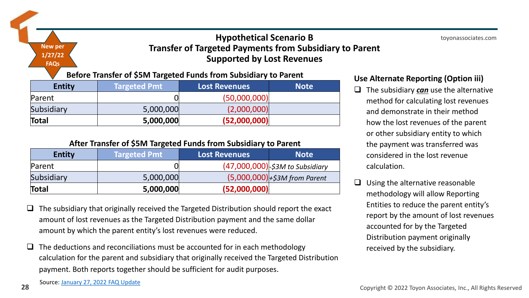### **Hypothetical Scenario B Transfer of Targeted Payments from Subsidiary to Parent Supported by Lost Revenues**

#### **Before Transfer of \$5M Targeted Funds from Subsidiary to Parent**

| <b>Entity</b> | <b>Targeted Pmt</b> | <b>Lost Revenues</b> | <b>Note</b> |
|---------------|---------------------|----------------------|-------------|
| Parent        |                     | (50,000,000)         |             |
| Subsidiary    | 5,000,000           | (2,000,000)          |             |
| Total         | 5,000,000           | (52,000,000)         |             |

#### **After Transfer of \$5M Targeted Funds from Subsidiary to Parent**

| <b>Entity</b> | Targeted Pmt | <b>Lost Revenues</b> | <b>Note</b>                                   |
|---------------|--------------|----------------------|-----------------------------------------------|
| Parent        |              |                      | $(47,000,000)$ $\frac{1}{5}$ 3M to Subsidiary |
| Subsidiary    | 5,000,000    |                      | $(5,000,000)$ + \$3M from Parent              |
| Total         | 5,000,000    | (52,000,000)         |                                               |

- $\Box$  The subsidiary that originally received the Targeted Distribution should report the exact amount of lost revenues as the Targeted Distribution payment and the same dollar amount by which the parent entity's lost revenues were reduced.
- $\Box$  The deductions and reconciliations must be accounted for in each methodology calculation for the parent and subsidiary that originally received the Targeted Distribution payment. Both reports together should be sufficient for audit purposes.

#### **Use Alternate Reporting (Option iii)**

- ❑ The subsidiary *can* use the alternative method for calculating lost revenues and demonstrate in their method how the lost revenues of the parent or other subsidiary entity to which the payment was transferred was considered in the lost revenue calculation.
- $\Box$  Using the alternative reasonable methodology will allow Reporting Entities to reduce the parent entity's report by the amount of lost revenues accounted for by the Targeted Distribution payment originally received by the subsidiary.

**New per 1/27/22 FAQs**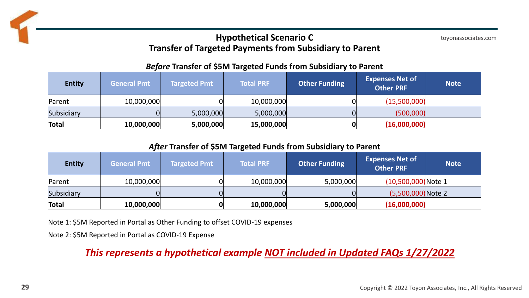### **Hypothetical Scenario C Transfer of Targeted Payments from Subsidiary to Parent**

toyonassociates.com

#### *Before* **Transfer of \$5M Targeted Funds from Subsidiary to Parent**

| <b>Entity</b> | <b>General Pmt</b> | <b>Targeted Pmt</b> | <b>Total PRF</b> | <b>Other Funding</b> | <b>Expenses Net of</b><br><b>Other PRF</b> | <b>Note</b> |
|---------------|--------------------|---------------------|------------------|----------------------|--------------------------------------------|-------------|
| Parent        | 10,000,000         |                     | 10,000,000       |                      | (15,500,000)                               |             |
| Subsidiary    |                    | 5,000,000           | 5,000,000        |                      | (500,000)                                  |             |
| Total         | 10,000,000         | 5,000,000           | 15,000,000       |                      | (16,000,000)                               |             |

*After* **Transfer of \$5M Targeted Funds from Subsidiary to Parent**

| <b>Entity</b> | <b>General Pmt</b> | <b>Targeted Pmt</b> | <b>Total PRF</b> | <b>Other Funding</b> | <b>Expenses Net of</b><br><b>Other PRF</b> | <b>Note</b> |
|---------------|--------------------|---------------------|------------------|----------------------|--------------------------------------------|-------------|
| Parent        | 10,000,000         |                     | 10,000,000       | 5,000,000            | $(10,500,000)$ Note 1                      |             |
| Subsidiary    |                    |                     |                  |                      | $(5,500,000)$ Note 2                       |             |
| Total         | 10,000,000         |                     | 10,000,000       | 5,000,000            | (16,000,000)                               |             |

Note 1: \$5M Reported in Portal as Other Funding to offset COVID-19 expenses

Note 2: \$5M Reported in Portal as COVID-19 Expense

*This represents a hypothetical example NOT included in Updated FAQs 1/27/2022*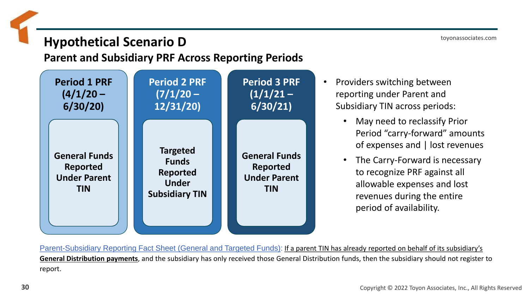### **Hypothetical Scenario D**

### **Parent and Subsidiary PRF Across Reporting Periods**



- Providers switching between reporting under Parent and Subsidiary TIN across periods:
	- May need to reclassify Prior Period "carry-forward" amounts of expenses and | lost revenues
	- The Carry-Forward is necessary to recognize PRF against all allowable expenses and lost revenues during the entire period of availability.

Parent-Subsidiary Reporting Fact Sheet (General and Targeted Funds): If a parent TIN has already reported on behalf of its subsidiary's **General Distribution payments**, and the subsidiary has only received those General Distribution funds, then the subsidiary should not register to report.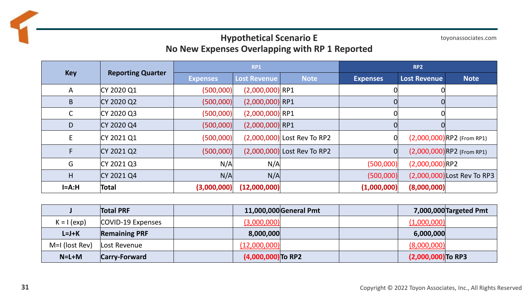### **Hypothetical Scenario E No New Expenses Overlapping with RP 1 Reported**

toyonassociates.com

|              |                          | <b>RP1</b>      |                     |                               | RP <sub>2</sub> |                     |                              |
|--------------|--------------------------|-----------------|---------------------|-------------------------------|-----------------|---------------------|------------------------------|
| <b>Key</b>   | <b>Reporting Quarter</b> | <b>Expenses</b> | <b>Lost Revenue</b> | <b>Note</b>                   | <b>Expenses</b> | <b>Lost Revenue</b> | <b>Note</b>                  |
| A            | CY 2020 Q1               | (500,000)       | $(2,000,000)$ RP1   |                               |                 |                     |                              |
| B            | CY 2020 Q2               | (500,000)       | $(2,000,000)$ RP1   |                               |                 |                     |                              |
| $\mathsf{C}$ | CY 2020 Q3               | (500,000)       | $(2,000,000)$ RP1   |                               |                 |                     |                              |
| D            | CY 2020 Q4               | (500,000)       | $(2,000,000)$ RP1   |                               |                 |                     |                              |
| E            | CY 2021 Q1               | (500,000)       |                     | $(2,000,000)$ Lost Rev To RP2 | 0               |                     | $(2,000,000)$ RP2 (From RP1) |
| F.           | CY 2021 Q2               | (500,000)       |                     | $(2,000,000)$ Lost Rev To RP2 | 0               |                     | $(2,000,000)$ RP2 (From RP1) |
| G            | CY 2021 Q3               | N/A             | N/A                 |                               | (500,000)       | (2,000,000) RP2     |                              |
| H            | CY 2021 Q4               | N/A             | N/A                 |                               | (500,000)       |                     | (2,000,000) Lost Rev To RP3  |
| $I=A:H$      | Total                    | (3,000,000)     | (12,000,000)        |                               | (1,000,000)     | (8,000,000)         |                              |

|                  | <b>Total PRF</b>     |                      | 11,000,000 General Pmt | 7,000,000 Targeted Pmt |
|------------------|----------------------|----------------------|------------------------|------------------------|
| $K = I (exp)$    | COVID-19 Expenses    | (3,000,000)          | (1,000,000)            |                        |
| $L=J+K$          | <b>Remaining PRF</b> | 8,000,000            | 6,000,000              |                        |
| $M=1$ (lost Rev) | Lost Revenue         | (12,000,000)         | (8,000,000)            |                        |
| $N=L+M$          | <b>Carry-Forward</b> | $(4,000,000)$ To RP2 | $(2,000,000)$ To RP3   |                        |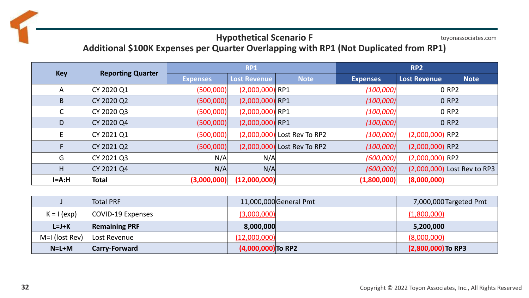#### toyonassociates.com **Hypothetical Scenario F Additional \$100K Expenses per Quarter Overlapping with RP1 (Not Duplicated from RP1)**

|              |                          | <b>RP1</b>      |                     |                               | RP <sub>2</sub> |                     |                             |
|--------------|--------------------------|-----------------|---------------------|-------------------------------|-----------------|---------------------|-----------------------------|
| <b>Key</b>   | <b>Reporting Quarter</b> | <b>Expenses</b> | <b>Lost Revenue</b> | <b>Note</b>                   | <b>Expenses</b> | <b>Lost Revenue</b> | <b>Note</b>                 |
| $\mathsf{A}$ | CY 2020 Q1               | (500,000)       | $(2,000,000)$ RP1   |                               | (100,000)       |                     | $O$ RP2                     |
| B            | CY 2020 Q2               | (500,000)       | $(2,000,000)$ RP1   |                               | (100,000)       |                     | O RP2                       |
| С            | CY 2020 Q3               | (500,000)       | $(2,000,000)$ RP1   |                               | (100,000)       |                     | O RP2                       |
| D            | CY 2020 Q4               | (500,000)       | $(2,000,000)$ RP1   |                               | (100,000)       |                     | O RP2                       |
| E            | CY 2021 Q1               | (500,000)       |                     | $(2,000,000)$ Lost Rev To RP2 | (100,000)       | $(2,000,000)$ RP2   |                             |
|              | CY 2021 Q2               | (500,000)       |                     | $(2,000,000)$ Lost Rev To RP2 | (100,000)       | $(2,000,000)$ RP2   |                             |
| G            | CY 2021 Q3               | N/A             | N/A                 |                               | (600,000)       | $(2,000,000)$ RP2   |                             |
| H            | CY 2021 Q4               | N/A             | N/A                 |                               | (600,000)       |                     | (2,000,000) Lost Rev to RP3 |
| $I=A:H$      | Total                    | (3,000,000)     | (12,000,000)        |                               | (1,800,000)     | (8,000,000)         |                             |

|                | <b>Total PRF</b>     | 11,000,000 General Pmt | 7,000,000 Targeted Pmt |
|----------------|----------------------|------------------------|------------------------|
| $K = I (exp)$  | COVID-19 Expenses    | (3,000,000)            | (1,800,000)            |
| $L=J+K$        | <b>Remaining PRF</b> | 8,000,000              | 5,200,000              |
| M=I (lost Rev) | Lost Revenue         | (12,000,000)           | (8,000,000)            |
| $N=L+M$        | <b>Carry-Forward</b> | $(4,000,000)$ To RP2   | $(2,800,000)$ To RP3   |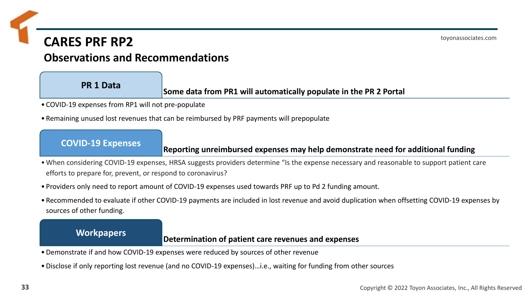### **CARES PRF RP2**

### **Observations and Recommendations**

### **PR 1 Data**

#### **Some data from PR1 will automatically populate in the PR 2 Portal**

- COVID-19 expenses from RP1 will not pre-populate
- Remaining unused lost revenues that can be reimbursed by PRF payments will prepopulate

#### **COVID-19 Expenses**

#### **Reporting unreimbursed expenses may help demonstrate need for additional funding**

- •When considering COVID-19 expenses, HRSA suggests providers determine "Is the expense necessary and reasonable to support patient care efforts to prepare for, prevent, or respond to coronavirus?
- Providers only need to report amount of COVID-19 expenses used towards PRF up to Pd 2 funding amount.
- Recommended to evaluate if other COVID-19 payments are included in lost revenue and avoid duplication when offsetting COVID-19 expenses by sources of other funding.

#### **Workpapers**

#### **Determination of patient care revenues and expenses**

- •Demonstrate if and how COVID-19 expenses were reduced by sources of other revenue
- •Disclose if only reporting lost revenue (and no COVID-19 expenses)…i.e., waiting for funding from other sources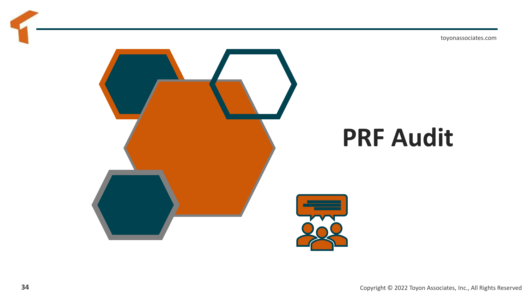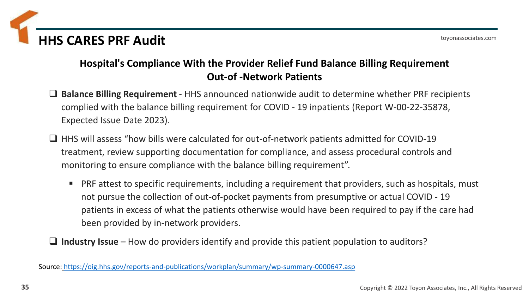

### **Hospital's Compliance With the Provider Relief Fund Balance Billing Requirement Out-of -Network Patients**

- ❑ **Balance Billing Requirement**  HHS announced nationwide audit to determine whether PRF recipients complied with the balance billing requirement for COVID - 19 inpatients (Report W-00-22-35878, Expected Issue Date 2023).
- ❑ HHS will assess "how bills were calculated for out-of-network patients admitted for COVID-19 treatment, review supporting documentation for compliance, and assess procedural controls and monitoring to ensure compliance with the balance billing requirement".
	- **PRF attest to specific requirements, including a requirement that providers, such as hospitals, must** not pursue the collection of out-of-pocket payments from presumptive or actual COVID - 19 patients in excess of what the patients otherwise would have been required to pay if the care had been provided by in-network providers.

❑ **Industry Issue** – How do providers identify and provide this patient population to auditors?

Source: <https://oig.hhs.gov/reports-and-publications/workplan/summary/wp-summary-0000647.asp>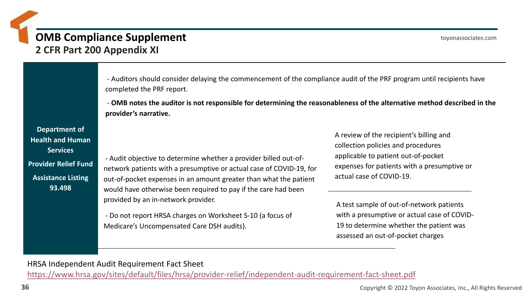### **OMB Compliance Supplement 2 CFR Part 200 Appendix XI**

- Auditors should consider delaying the commencement of the compliance audit of the PRF program until recipients have completed the PRF report.

- **OMB notes the auditor is not responsible for determining the reasonableness of the alternative method described in the provider's narrative.**

**Department of Health and Human Services Provider Relief Fund Assistance Listing 93.498**

- Audit objective to determine whether a provider billed out-ofnetwork patients with a presumptive or actual case of COVID-19, for out-of-pocket expenses in an amount greater than what the patient would have otherwise been required to pay if the care had been provided by an in-network provider.

- Do not report HRSA charges on Worksheet S-10 (a focus of Medicare's Uncompensated Care DSH audits).

A review of the recipient's billing and collection policies and procedures applicable to patient out-of-pocket expenses for patients with a presumptive or actual case of COVID-19.

A test sample of out-of-network patients with a presumptive or actual case of COVID-19 to determine whether the patient was assessed an out-of-pocket charges

HRSA Independent Audit Requirement Fact Sheet <https://www.hrsa.gov/sites/default/files/hrsa/provider-relief/independent-audit-requirement-fact-sheet.pdf>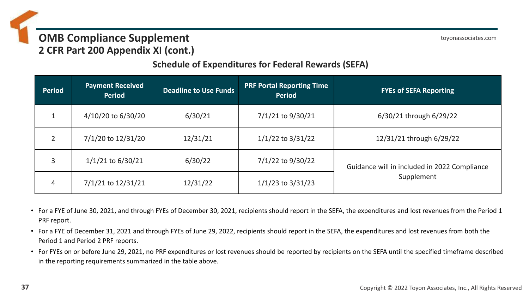### **OMB Compliance Supplement 2 CFR Part 200 Appendix XI (cont.)**

toyonassociates.com

### **Schedule of Expenditures for Federal Rewards (SEFA)**

| <b>Period</b> | <b>Payment Received</b><br><b>Period</b> | <b>Deadline to Use Funds</b> | <b>PRF Portal Reporting Time</b><br><b>Period</b> | <b>FYEs of SEFA Reporting</b>                |
|---------------|------------------------------------------|------------------------------|---------------------------------------------------|----------------------------------------------|
|               | 4/10/20 to 6/30/20                       | 6/30/21                      | $7/1/21$ to $9/30/21$                             | 6/30/21 through 6/29/22                      |
|               | 7/1/20 to 12/31/20                       | 12/31/21                     | $1/1/22$ to $3/31/22$                             | 12/31/21 through 6/29/22                     |
| 3             | $1/1/21$ to 6/30/21                      | 6/30/22                      | $7/1/22$ to $9/30/22$                             | Guidance will in included in 2022 Compliance |
| 4             | 7/1/21 to 12/31/21                       | 12/31/22                     | $1/1/23$ to $3/31/23$                             | Supplement                                   |

- For a FYE of June 30, 2021, and through FYEs of December 30, 2021, recipients should report in the SEFA, the expenditures and lost revenues from the Period 1 PRF report.
- For a FYE of December 31, 2021 and through FYEs of June 29, 2022, recipients should report in the SEFA, the expenditures and lost revenues from both the Period 1 and Period 2 PRF reports.
- For FYEs on or before June 29, 2021, no PRF expenditures or lost revenues should be reported by recipients on the SEFA until the specified timeframe described in the reporting requirements summarized in the table above.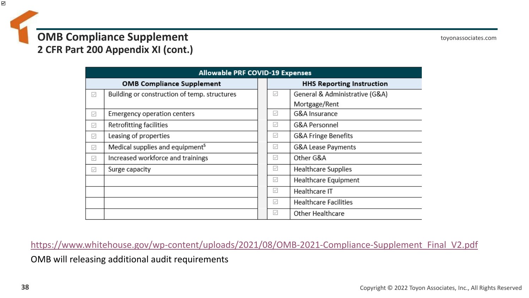

|              | <b>Allowable PRF COVID-19 Expenses</b>       |                                  |                                |  |  |  |  |
|--------------|----------------------------------------------|----------------------------------|--------------------------------|--|--|--|--|
|              | <b>OMB Compliance Supplement</b>             | <b>HHS Reporting Instruction</b> |                                |  |  |  |  |
| $\checkmark$ | Building or construction of temp. structures | $\checkmark$                     | General & Administrative (G&A) |  |  |  |  |
|              |                                              |                                  | Mortgage/Rent                  |  |  |  |  |
| $\checkmark$ | Emergency operation centers                  | $\checkmark$                     | G&A Insurance                  |  |  |  |  |
| $\checkmark$ | Retrofitting facilities                      | $\checkmark$                     | G&A Personnel                  |  |  |  |  |
| $\checkmark$ | Leasing of properties                        | $\checkmark$                     | <b>G&amp;A Fringe Benefits</b> |  |  |  |  |
| $\checkmark$ | Medical supplies and equipment <sup>5</sup>  | $\checkmark$                     | G&A Lease Payments             |  |  |  |  |
| $\checkmark$ | Increased workforce and trainings            | $\checkmark$                     | Other G&A                      |  |  |  |  |
| $\checkmark$ | Surge capacity                               | $\checkmark$                     | Healthcare Supplies            |  |  |  |  |
|              |                                              | $\checkmark$                     | Healthcare Equipment           |  |  |  |  |
|              |                                              | $\checkmark$                     | Healthcare IT                  |  |  |  |  |
|              |                                              | $\checkmark$                     | <b>Healthcare Facilities</b>   |  |  |  |  |
|              |                                              | $\checkmark$                     | <b>Other Healthcare</b>        |  |  |  |  |

[https://www.whitehouse.gov/wp-content/uploads/2021/08/OMB-2021-Compliance-Supplement\\_Final\\_V2.pdf](https://www.whitehouse.gov/wp-content/uploads/2021/08/OMB-2021-Compliance-Supplement_Final_V2.pdf)

OMB will releasing additional audit requirements

N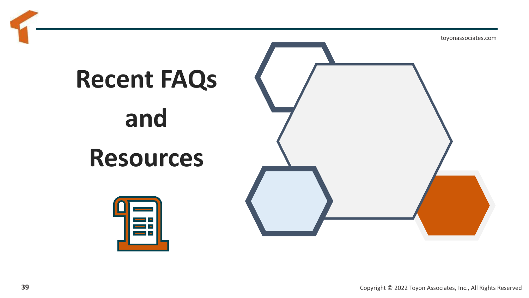# **Recent FAQs**

# **and Resources**



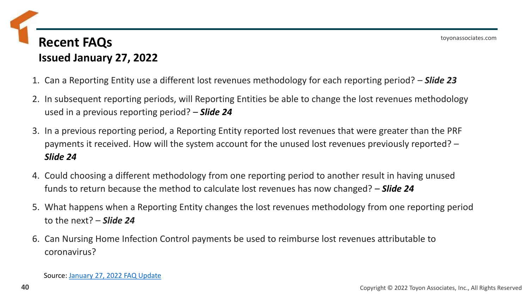### **Recent FAQs Issued January 27, 2022**

- 1. Can a Reporting Entity use a different lost revenues methodology for each reporting period? *Slide 23*
- 2. In subsequent reporting periods, will Reporting Entities be able to change the lost revenues methodology used in a previous reporting period? – *Slide 24*
- 3. In a previous reporting period, a Reporting Entity reported lost revenues that were greater than the PRF payments it received. How will the system account for the unused lost revenues previously reported? – *Slide 24*
- 4. Could choosing a different methodology from one reporting period to another result in having unused funds to return because the method to calculate lost revenues has now changed? – *Slide 24*
- 5. What happens when a Reporting Entity changes the lost revenues methodology from one reporting period to the next? – *Slide 24*
- 6. Can Nursing Home Infection Control payments be used to reimburse lost revenues attributable to coronavirus?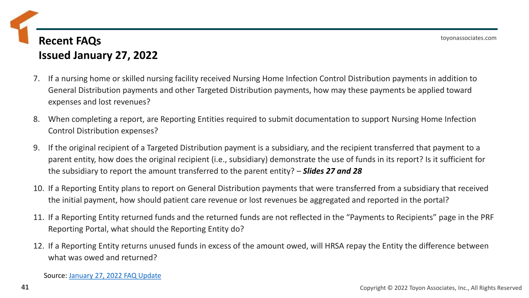### **Recent FAQs Issued January 27, 2022**

- 7. If a nursing home or skilled nursing facility received Nursing Home Infection Control Distribution payments in addition to General Distribution payments and other Targeted Distribution payments, how may these payments be applied toward expenses and lost revenues?
- 8. When completing a report, are Reporting Entities required to submit documentation to support Nursing Home Infection Control Distribution expenses?
- 9. If the original recipient of a Targeted Distribution payment is a subsidiary, and the recipient transferred that payment to a parent entity, how does the original recipient (i.e., subsidiary) demonstrate the use of funds in its report? Is it sufficient for the subsidiary to report the amount transferred to the parent entity? – *Slides 27 and 28*
- 10. If a Reporting Entity plans to report on General Distribution payments that were transferred from a subsidiary that received the initial payment, how should patient care revenue or lost revenues be aggregated and reported in the portal?
- 11. If a Reporting Entity returned funds and the returned funds are not reflected in the "Payments to Recipients" page in the PRF Reporting Portal, what should the Reporting Entity do?
- 12. If a Reporting Entity returns unused funds in excess of the amount owed, will HRSA repay the Entity the difference between what was owed and returned?

Source: [January 27, 2022](https://www.hrsa.gov/sites/default/files/hrsa/provider-relief/provider-relief-fund-faq-complete.pdf) FAQ Update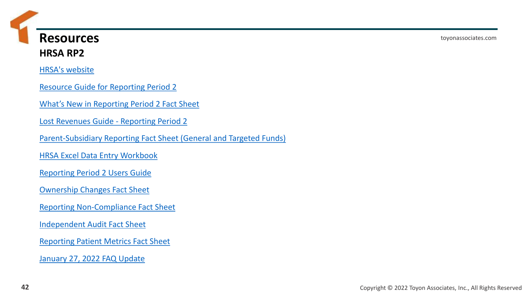**Resources HRSA RP2**

[HRSA's website](https://nam02.safelinks.protection.outlook.com/?url=https%3A%2F%2Fr20.rs6.net%2Ftn.jsp%3Ff%3D001kQ1Eo08vegWwik7mUF7larQtGxAEesvOlt4Q6EJ1CXvr1KbI9fICmNdMR5g5p2Pt0rlMKARrq8cnphzNk4-8BukRMC9nWwqrwrX8pwUav9I7t_Gor0Tr4QIjq5eKfZal_J-m1fRKXbJoZQDZaPBZcuJm_29ur_7TUF9Jl_Rbs3oTj6ztaKGqmP554s3_tbmA0ClnB6fQ0XaTBya7ECcNQYmmw_CVjl3I%26c%3D4BQnoev247iqfLq1bGP-dTKYwwJRoywJLqIgXFhlCxWTpdMZ0lRQ8w%3D%3D%26ch%3Dr9RD_3rRpNrupOhDHXW-QvLljbiL-L5RxXb2Q3YHq_dO1aDsFVahVw%3D%3D&data=04%7C01%7Cfred.fisher%40toyonassociates.com%7Cd5b9291ef5ab42e602ff08d9d79c141b%7Cb9e01c2d96de4991a9b207fd941a54e0%7C0%7C0%7C637777887648484374%7CUnknown%7CTWFpbGZsb3d8eyJWIjoiMC4wLjAwMDAiLCJQIjoiV2luMzIiLCJBTiI6Ik1haWwiLCJXVCI6Mn0%3D%7C3000&sdata=RApDPAujC0DjzrgIyyw1lJlMw%2BT5QVLMeG1k%2FwVSpng%3D&reserved=0)

[Resource Guide for Reporting Period 2](https://nam02.safelinks.protection.outlook.com/?url=https%3A%2F%2Fr20.rs6.net%2Ftn.jsp%3Ff%3D001kQ1Eo08vegWwik7mUF7larQtGxAEesvOlt4Q6EJ1CXvr1KbI9fICmNdMR5g5p2PtBg57GG7RO1NbYEhdn583IlfRDxwWq0slOOUOt5fGjtUlvLqzGM8XD9yiqnKmcOsDj82GDon2_ZZGIxXbSFjYxbq7uhAgBRLA-wxd5bbInrXke0bCpj7fLMeplY4T6OTsE7M4HcYrtr767rO2MycU2RsCOArb4wnoopsqJAsA1eiQUSsHsbeFIEnfNg58iGyC%26c%3D4BQnoev247iqfLq1bGP-dTKYwwJRoywJLqIgXFhlCxWTpdMZ0lRQ8w%3D%3D%26ch%3Dr9RD_3rRpNrupOhDHXW-QvLljbiL-L5RxXb2Q3YHq_dO1aDsFVahVw%3D%3D&data=04%7C01%7Cfred.fisher%40toyonassociates.com%7Cd5b9291ef5ab42e602ff08d9d79c141b%7Cb9e01c2d96de4991a9b207fd941a54e0%7C0%7C0%7C637777887648484374%7CUnknown%7CTWFpbGZsb3d8eyJWIjoiMC4wLjAwMDAiLCJQIjoiV2luMzIiLCJBTiI6Ik1haWwiLCJXVCI6Mn0%3D%7C3000&sdata=pzT1lKU2XzmKSSc9HBrHy6JRNAKvNYTXCTzqqVF6qqE%3D&reserved=0)

[What's New in Reporting Period 2 Fact Sheet](https://nam02.safelinks.protection.outlook.com/?url=https%3A%2F%2Fr20.rs6.net%2Ftn.jsp%3Ff%3D001kQ1Eo08vegWwik7mUF7larQtGxAEesvOlt4Q6EJ1CXvr1KbI9fICmNdMR5g5p2Ptz854DOdTKwhthl0Zgh0NYTTifXk6gfc82zfFf9fYwpRnKTp4fuiJ7YT-CCTb3bpP9FR-A-ZAGkdgiPzrqZwZQU4w9ZqWrAzt8MBixetxycmneRTmJS4LC0z81_DlLv564sCrjtkrjHvBSLr6u4bxRzRIjrmJNIW0gRM3kAypnATOV5lcirBsD4tn0GBGAauf%26c%3D4BQnoev247iqfLq1bGP-dTKYwwJRoywJLqIgXFhlCxWTpdMZ0lRQ8w%3D%3D%26ch%3Dr9RD_3rRpNrupOhDHXW-QvLljbiL-L5RxXb2Q3YHq_dO1aDsFVahVw%3D%3D&data=04%7C01%7Cfred.fisher%40toyonassociates.com%7Cd5b9291ef5ab42e602ff08d9d79c141b%7Cb9e01c2d96de4991a9b207fd941a54e0%7C0%7C0%7C637777887648484374%7CUnknown%7CTWFpbGZsb3d8eyJWIjoiMC4wLjAwMDAiLCJQIjoiV2luMzIiLCJBTiI6Ik1haWwiLCJXVCI6Mn0%3D%7C3000&sdata=HHTBr9K%2F3AtiqwXiT0qDJRwWW4Q5XgC77ZhOUegaUaI%3D&reserved=0)

[Lost Revenues Guide -](https://nam02.safelinks.protection.outlook.com/?url=https%3A%2F%2Fr20.rs6.net%2Ftn.jsp%3Ff%3D001kQ1Eo08vegWwik7mUF7larQtGxAEesvOlt4Q6EJ1CXvr1KbI9fICmNdMR5g5p2PtWBRV3MOFKJEi0gAqQVF-eDxGD7EhQhhy9CA488XryGig8R9NydB3IwkcrgkbxjCFot86kCVV17mXxwpUdZC_WCWMhHDRF1tQS5x9I65COsor9I2twALK-TfDBnFteEIaBNoOF3x9_JackA3RDMp9G4nV-J9O0mYRWtNWg0npgTKsgIyI96s-5hqB3bKzXSUK%26c%3D4BQnoev247iqfLq1bGP-dTKYwwJRoywJLqIgXFhlCxWTpdMZ0lRQ8w%3D%3D%26ch%3Dr9RD_3rRpNrupOhDHXW-QvLljbiL-L5RxXb2Q3YHq_dO1aDsFVahVw%3D%3D&data=04%7C01%7Cfred.fisher%40toyonassociates.com%7Cd5b9291ef5ab42e602ff08d9d79c141b%7Cb9e01c2d96de4991a9b207fd941a54e0%7C0%7C0%7C637777887648484374%7CUnknown%7CTWFpbGZsb3d8eyJWIjoiMC4wLjAwMDAiLCJQIjoiV2luMzIiLCJBTiI6Ik1haWwiLCJXVCI6Mn0%3D%7C3000&sdata=LIs8rmJ7nmoNO%2F8ssBO9IVowirEzl7bR7GyIOWQiLBo%3D&reserved=0) Reporting Period 2

[Parent-Subsidiary Reporting Fact Sheet \(General and Targeted Funds\)](https://nam02.safelinks.protection.outlook.com/?url=https%3A%2F%2Fr20.rs6.net%2Ftn.jsp%3Ff%3D001kQ1Eo08vegWwik7mUF7larQtGxAEesvOlt4Q6EJ1CXvr1KbI9fICmNdMR5g5p2Ptyq8GVwIDil5t4-wxJP4sCBpQHV0-DKIfqhJ7ZHbAEDu_gkHKvL_vJgYDPhZJgYZOHaL-cAhxmMYpSWiq8KyOT6Dk9rWOKJ0iaxiTGmOoe-wf--KINm9azznr09xuva2CthCGaHirIhELBv-1nq8H74f2BLfHOOBmbTFiQ9nkgHkwvPK_X3HmFBgqv_Rc6JnJE_bqKyryHLQ%3D%26c%3D4BQnoev247iqfLq1bGP-dTKYwwJRoywJLqIgXFhlCxWTpdMZ0lRQ8w%3D%3D%26ch%3Dr9RD_3rRpNrupOhDHXW-QvLljbiL-L5RxXb2Q3YHq_dO1aDsFVahVw%3D%3D&data=04%7C01%7Cfred.fisher%40toyonassociates.com%7Cd5b9291ef5ab42e602ff08d9d79c141b%7Cb9e01c2d96de4991a9b207fd941a54e0%7C0%7C0%7C637777887648484374%7CUnknown%7CTWFpbGZsb3d8eyJWIjoiMC4wLjAwMDAiLCJQIjoiV2luMzIiLCJBTiI6Ik1haWwiLCJXVCI6Mn0%3D%7C3000&sdata=RDpDYbJKxCiHkSdAOaVLAsMpsH6hRmomzDCo5gqQ%2FD8%3D&reserved=0)

[HRSA Excel Data Entry Workbook](https://nam02.safelinks.protection.outlook.com/?url=https%3A%2F%2Fr20.rs6.net%2Ftn.jsp%3Ff%3D001kQ1Eo08vegWwik7mUF7larQtGxAEesvOlt4Q6EJ1CXvr1KbI9fICmNdMR5g5p2Pt4AuI7S-ImMFbCKLr-Hf1AigV82GSL479VdmYdIvqQM_A2TNkRCwaCmXkinOeC3uJ7ui_wlNsVLbjlT5W4ETimewEYBmD8Fn9PINMaXX8iLsyn53O6iNREZT72lWQkbHPfKZgcOPi6UowYe_a0B0xuw%3D%3D%26c%3D4BQnoev247iqfLq1bGP-dTKYwwJRoywJLqIgXFhlCxWTpdMZ0lRQ8w%3D%3D%26ch%3Dr9RD_3rRpNrupOhDHXW-QvLljbiL-L5RxXb2Q3YHq_dO1aDsFVahVw%3D%3D&data=04%7C01%7Cfred.fisher%40toyonassociates.com%7Cd5b9291ef5ab42e602ff08d9d79c141b%7Cb9e01c2d96de4991a9b207fd941a54e0%7C0%7C0%7C637777887648484374%7CUnknown%7CTWFpbGZsb3d8eyJWIjoiMC4wLjAwMDAiLCJQIjoiV2luMzIiLCJBTiI6Ik1haWwiLCJXVCI6Mn0%3D%7C3000&sdata=c2A7smvzvjnZl6FV2vOqacxi6%2FWYzAv0vAl9yel6Ho8%3D&reserved=0)

[Reporting Period 2 Users Guide](https://nam02.safelinks.protection.outlook.com/?url=https%3A%2F%2Fr20.rs6.net%2Ftn.jsp%3Ff%3D001kQ1Eo08vegWwik7mUF7larQtGxAEesvOlt4Q6EJ1CXvr1KbI9fICmNdMR5g5p2Pt-pfN7tT50B55Y-2umJV-sRd7YVbtUa3qP-kenk_P4OwTz338hobvL8BKiAf_0m-6Y-iNY084hhgLVW-nsj70tpaYnrSlf99Lb_rKFitcQlIWGa3hpTBiWq2S0HCrByc-Om9sxkY94CBvXlEwOaMiVA%3D%3D%26c%3D4BQnoev247iqfLq1bGP-dTKYwwJRoywJLqIgXFhlCxWTpdMZ0lRQ8w%3D%3D%26ch%3Dr9RD_3rRpNrupOhDHXW-QvLljbiL-L5RxXb2Q3YHq_dO1aDsFVahVw%3D%3D&data=04%7C01%7Cfred.fisher%40toyonassociates.com%7Cd5b9291ef5ab42e602ff08d9d79c141b%7Cb9e01c2d96de4991a9b207fd941a54e0%7C0%7C0%7C637777887648484374%7CUnknown%7CTWFpbGZsb3d8eyJWIjoiMC4wLjAwMDAiLCJQIjoiV2luMzIiLCJBTiI6Ik1haWwiLCJXVCI6Mn0%3D%7C3000&sdata=ueGe7K8tBaVKy1BMF6%2FRRc5rmotTcfokhglafE62nMs%3D&reserved=0)

[Ownership Changes Fact Sheet](https://nam02.safelinks.protection.outlook.com/?url=https%3A%2F%2Fr20.rs6.net%2Ftn.jsp%3Ff%3D001kQ1Eo08vegWwik7mUF7larQtGxAEesvOlt4Q6EJ1CXvr1KbI9fICmNdMR5g5p2Ptv9T4RWKiWkUhvSUrTBQNmnSo3qSN0VH0xl3lh4kACjF9M7tuHyxxmNU_WuNi8YIOgdo71KOmYAeXjVUL0vhkmYZwJYvJ30G8khdzYLetAQ5qeTLqDwlu1kpMeqQGAIw9A0pZCcbBi9pfoYSjDz40QMvmA4Z8fU0zBiiJ5FlKFH3wp2XOjZpLYhKHlOmMo0uk%26c%3D4BQnoev247iqfLq1bGP-dTKYwwJRoywJLqIgXFhlCxWTpdMZ0lRQ8w%3D%3D%26ch%3Dr9RD_3rRpNrupOhDHXW-QvLljbiL-L5RxXb2Q3YHq_dO1aDsFVahVw%3D%3D&data=04%7C01%7Cfred.fisher%40toyonassociates.com%7Cd5b9291ef5ab42e602ff08d9d79c141b%7Cb9e01c2d96de4991a9b207fd941a54e0%7C0%7C0%7C637777887648484374%7CUnknown%7CTWFpbGZsb3d8eyJWIjoiMC4wLjAwMDAiLCJQIjoiV2luMzIiLCJBTiI6Ik1haWwiLCJXVCI6Mn0%3D%7C3000&sdata=3NoylsBQDKnHePJoJLg%2FwAprCR%2B6GpUXfWiTiGR2zu8%3D&reserved=0)

[Reporting Non-Compliance Fact Sheet](https://nam02.safelinks.protection.outlook.com/?url=https%3A%2F%2Fr20.rs6.net%2Ftn.jsp%3Ff%3D001kQ1Eo08vegWwik7mUF7larQtGxAEesvOlt4Q6EJ1CXvr1KbI9fICmNdMR5g5p2PtRqjtUbTN8AMVAAO_aM_E3RhGLLtj2bBeaqWTya6XfuHwYrjU4nKgB4T9mbH9L74he02IL6-jC10i1AX6s9rbWmYVJUbPeAU32Yj1YJFoRab_VuiwkEX-e9Kv14M6RhasgPJcHX095wm8CyH8YFuh_ydvCld0tP7xHlL13s_tGnQgGylaygmr1uovTfoHt7HkXd6-2rMpvtc%3D%26c%3D4BQnoev247iqfLq1bGP-dTKYwwJRoywJLqIgXFhlCxWTpdMZ0lRQ8w%3D%3D%26ch%3Dr9RD_3rRpNrupOhDHXW-QvLljbiL-L5RxXb2Q3YHq_dO1aDsFVahVw%3D%3D&data=04%7C01%7Cfred.fisher%40toyonassociates.com%7Cd5b9291ef5ab42e602ff08d9d79c141b%7Cb9e01c2d96de4991a9b207fd941a54e0%7C0%7C0%7C637777887648484374%7CUnknown%7CTWFpbGZsb3d8eyJWIjoiMC4wLjAwMDAiLCJQIjoiV2luMzIiLCJBTiI6Ik1haWwiLCJXVCI6Mn0%3D%7C3000&sdata=KnSZp31%2BuL4IbPatIToMU3BW8yM6k2OykeWQQetIAqw%3D&reserved=0)

[Independent Audit Fact Sheet](https://nam02.safelinks.protection.outlook.com/?url=https%3A%2F%2Fr20.rs6.net%2Ftn.jsp%3Ff%3D001kQ1Eo08vegWwik7mUF7larQtGxAEesvOlt4Q6EJ1CXvr1KbI9fICmNdMR5g5p2PtHWsWDVlRmBrNLIbsHm3DVw5ES3OW_XX_UvOQUqKfZkjc4c8DY3fCkm4I_AW_b5sugyv2xqj5USH-Is4_QFm4RdK4SxP08BzQi10gD2v0f7F55l5jLWbgf81xMIGTJZTKsyU6PgFst4QnXja5a_Bmvdpz5_TtKzFZFwOF1cOQOgsIYDdWlm1t0RxLSOEUr6dhdC9Q6Llhwo0%3D%26c%3D4BQnoev247iqfLq1bGP-dTKYwwJRoywJLqIgXFhlCxWTpdMZ0lRQ8w%3D%3D%26ch%3Dr9RD_3rRpNrupOhDHXW-QvLljbiL-L5RxXb2Q3YHq_dO1aDsFVahVw%3D%3D&data=04%7C01%7Cfred.fisher%40toyonassociates.com%7Cd5b9291ef5ab42e602ff08d9d79c141b%7Cb9e01c2d96de4991a9b207fd941a54e0%7C0%7C0%7C637777887648484374%7CUnknown%7CTWFpbGZsb3d8eyJWIjoiMC4wLjAwMDAiLCJQIjoiV2luMzIiLCJBTiI6Ik1haWwiLCJXVCI6Mn0%3D%7C3000&sdata=NuqJY08BocUbLqg2XTioTygb%2BjAJ11ZiPDn8petjHm8%3D&reserved=0)

[Reporting Patient Metrics Fact Sheet](https://nam02.safelinks.protection.outlook.com/?url=https%3A%2F%2Fr20.rs6.net%2Ftn.jsp%3Ff%3D001kQ1Eo08vegWwik7mUF7larQtGxAEesvOlt4Q6EJ1CXvr1KbI9fICmNdMR5g5p2PtVGThq4OF249F92i44-cZSPLqWvYwp7mFzaqI_Z1Y2wI7OBQaD0zGCvaLBUTBkR1oxLfXgehOfLso0BDv80wC0UJpuuEbiUesdvVuQ0zLRQ8RAW8JtP41gnn9W12y77fd1E5ICJ3kK0tMKb_J5HauPSxJdrSLcH3PdeoGlFwx6qL5jwdKYTw8YA%3D%3D%26c%3D4BQnoev247iqfLq1bGP-dTKYwwJRoywJLqIgXFhlCxWTpdMZ0lRQ8w%3D%3D%26ch%3Dr9RD_3rRpNrupOhDHXW-QvLljbiL-L5RxXb2Q3YHq_dO1aDsFVahVw%3D%3D&data=04%7C01%7Cfred.fisher%40toyonassociates.com%7Cd5b9291ef5ab42e602ff08d9d79c141b%7Cb9e01c2d96de4991a9b207fd941a54e0%7C0%7C0%7C637777887648484374%7CUnknown%7CTWFpbGZsb3d8eyJWIjoiMC4wLjAwMDAiLCJQIjoiV2luMzIiLCJBTiI6Ik1haWwiLCJXVCI6Mn0%3D%7C3000&sdata=mm0U%2BgvBMeY7knpCHyoWs7SeyosuF4cSicBRqEQPrz0%3D&reserved=0)

[January 27, 2022](https://www.hrsa.gov/sites/default/files/hrsa/provider-relief/provider-relief-fund-faq-complete.pdf) FAQ Update

toyonassociates.com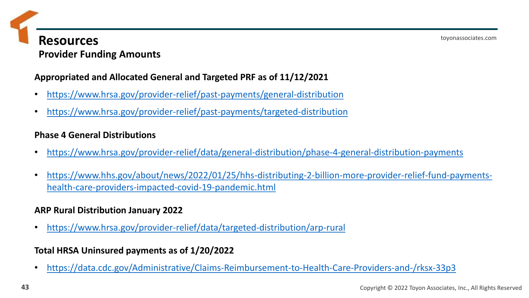### **Resources Provider Funding Amounts**

### **Appropriated and Allocated General and Targeted PRF as of 11/12/2021**

- <https://www.hrsa.gov/provider-relief/past-payments/general-distribution>
- <https://www.hrsa.gov/provider-relief/past-payments/targeted-distribution>

### **Phase 4 General Distributions**

- <https://www.hrsa.gov/provider-relief/data/general-distribution/phase-4-general-distribution-payments>
- [https://www.hhs.gov/about/news/2022/01/25/hhs-distributing-2-billion-more-provider-relief-fund-payments](https://www.hhs.gov/about/news/2022/01/25/hhs-distributing-2-billion-more-provider-relief-fund-payments-health-care-providers-impacted-covid-19-pandemic.html)health-care-providers-impacted-covid-19-pandemic.html

### **ARP Rural Distribution January 2022**

• <https://www.hrsa.gov/provider-relief/data/targeted-distribution/arp-rural>

### **Total HRSA Uninsured payments as of 1/20/2022**

• <https://data.cdc.gov/Administrative/Claims-Reimbursement-to-Health-Care-Providers-and-/rksx-33p3>